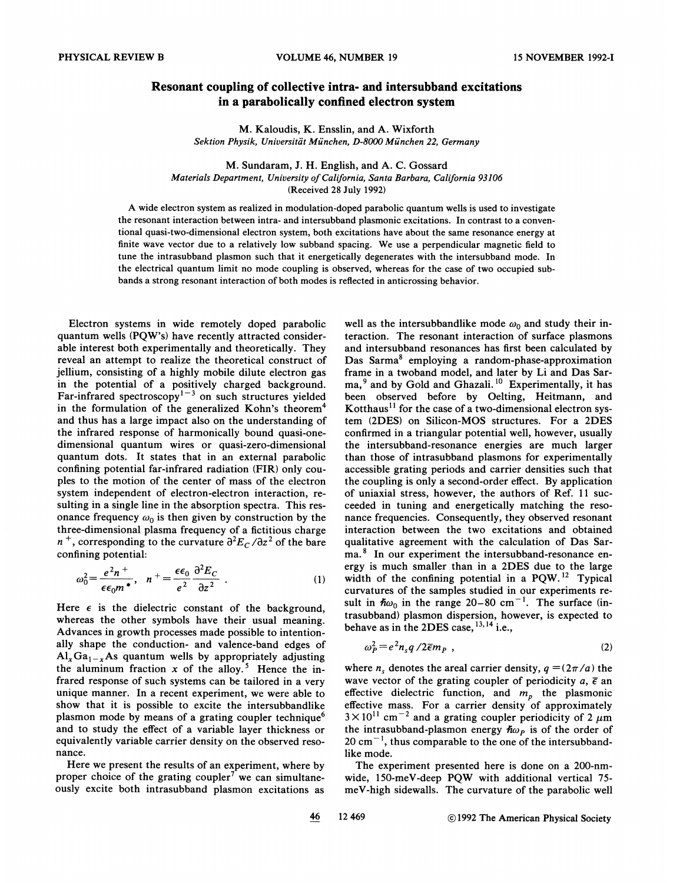## Resonant coupling of collective intra- and intersubband excitations in a parabolically confined electron system

M. Kaloudis, K. Ensslin, and A. Wixforth Sektion Physik, Universität München, D-8000 München 22, Germany

M. Sundaram, J. H. English, and A. C. Gossard Materials Department, Uniuersity of California, Santa Barbara, California 93106 (Received 28 July 1992)

A wide electron system as realized in modulation-doped parabolic quantum wells is used to investigate the resonant interaction between intra- and intersubband plasmonic excitations. In contrast to a conventional quasi-two-dimensional electron system, both excitations have about the same resonance energy at finite wave vector due to a relatively low subband spacing. We use a perpendicular magnetic field to tune the intrasubband plasmon such that it energetically degenerates with the intersubband mode. In the electrical quantum limit no mode coupling is observed, whereas for the case of two occupied subbands a strong resonant interaction of both modes is reflected in anticrossing behavior.

Electron systems in wide remotely doped parabolic quantum wells (PQW's) have recently attracted considerable interest both experimentally and theoretically. They reveal an attempt to realize the theoretical construct of jellium, consisting of a highly mobile dilute electron gas in the potential of a positively charged background Far-infrared spectroscopy<sup>1-3</sup> on such structures yielded in the formulation of the generalized Kohn's theorem<sup>4</sup> and thus has a large impact also on the understanding of the infrared response of harmonically bound quasi-onedimensional quantum wires or quasi-zero-dimensional quantum dots. It states that in an external parabolic confining potential far-infrared radiation (FIR) only couples to the motion of the center of mass of the electron system independent of electron-electron interaction, resulting in a single line in the absorption spectra. This resonance frequency  $\omega_0$  is then given by construction by the three-dimensional plasma frequency of a fictitious charge  $n^+$ , corresponding to the curvature  $\partial^2 E_c/\partial z^2$  of the bare confining potential:

$$
\omega_0^2 = \frac{e^2 n^+}{\epsilon \epsilon_0 m^*}, \quad n^+ = \frac{\epsilon \epsilon_0}{e^2} \frac{\partial^2 E_C}{\partial z^2} \tag{1}
$$

Here  $\epsilon$  is the dielectric constant of the background, whereas the other symbols have their usual meaning. Advances in growth processes made possible to intentionally shape the conduction- and valence-band edges of  $\text{Al}_x\text{Ga}_{1-x}\text{As}$  quantum wells by appropriately adjusting the aluminum fraction x of the alloy.<sup>5</sup> Hence the infrared response of such systems can be tailored in a very unique manner. In a recent experiment, we were able to show that it is possible to excite the intersubbandlike plasmon mode by means of a grating coupler technique and to study the effect of a variable layer thickness or equivalently variable carrier density on the observed resonance.

Here we present the results of an experiment, where by proper choice of the grating coupler<sup>7</sup> we can simultaneously excite both intrasubband plasmon excitations as well as the intersubbandlike mode  $\omega_0$  and study their interaction. The resonant interaction of surface plasmons and intersubband resonances has first been calculated by Das Sarma<sup>8</sup> employing a random-phase-approximation frame in a twoband model, and later by Li and Das Sarma,<sup>9</sup> and by Gold and Ghazali.<sup>10</sup> Experimentally, it has been observed before by Oelting, Heitmann, and Kotthaus<sup>11</sup> for the case of a two-dimensional electron systern (2DES) on Silicon-MOS structures. For a 2DES confirmed in a triangular potential well, however, usually the intersubband-resonance energies are much larger than those of intrasubband plasmons for experimentally accessible grating periods and carrier densities such that the coupling is only a second-order effect. By application of uniaxial stress, however, the authors of Ref. 11 succeeded in tuning and energetically matching the resonance frequencies. Consequently, they observed resonant interaction between the two excitations and obtained qualitative agreement with the calculation of Das Sarma.<sup>8</sup> In our experiment the intersubband-resonance energy is much smaller than in a 2DES due to the large width of the confining potential in a  $PQW$ .<sup>12</sup> Typical curvatures of the samples studied in our experiments result in  $\hbar \omega_0$  in the range 20–80 cm<sup>-1</sup>. The surface (intrasubband) plasmon dispersion, however, is expected to trasubband) plasmon dispersion, ho<br>behave as in the 2DES case, <sup>13, 14</sup> i.e.,

$$
\omega_P^2 = e^2 n_s q / 2 \overline{\epsilon} m_P , \qquad (2)
$$

where  $n_s$  denotes the areal carrier density,  $q = (2\pi/a)$  the wave vector of the grating coupler of periodicity  $a, \overline{\epsilon}$  an effective dielectric function, and  $m_p$  the plasmonic effective mass. For a carrier density of approximately  $3 \times 10^{11}$  cm<sup>-2</sup> and a grating coupler periodicity of 2  $\mu$ m the intrasubband-plasmon energy  $\hbar \omega_p$  is of the order of  $20 \text{ cm}^{-1}$ , thus comparable to the one of the intersubbandlike mode.

The experiment presented here is done on a 200-nmwide, 150-meV-deep PQW with additional vertical 75 meV-high sidewalls. The curvature of the parabolic well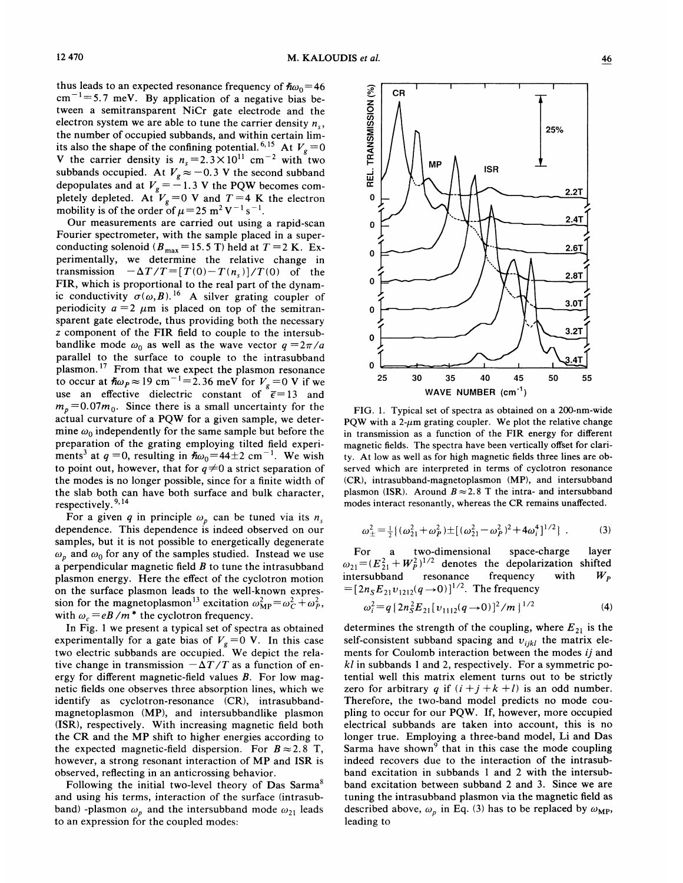thus leads to an expected resonance frequency of  $\hbar\omega_0=46$  $cm^{-1}$ =5.7 meV. By application of a negative bias between a semitransparent NiCr gate electrode and the electron system we are able to tune the carrier density  $n_{\rm s}$ , the number of occupied subbands, and within certain limits also the shape of the confining potential.<sup>6,15</sup> At  $V_g = 0$ V the carrier density is  $n_s = 2.3 \times 10^{11}$  cm<sup>-2</sup> with two subbands occupied. At  $V_g \approx -0.3$  V the second subband subvalues occupied. At  $V_g \approx -0.5$  V the secold subvalled by depopulates and at  $V_g = -1.3$  V the PQW becomes completely depleted. At  $V_g = 0$  V and  $T=4$  K the electron mobility is of the order of  $\mu = 25 \text{ m}^2 \text{ V}^{-1} \text{ s}$ 

Our measurements are carried out using a rapid-scan Fourier spectrometer, with the sample placed in a superconducting solenoid ( $B_{\text{max}} = 15.5 \text{ T}$ ) held at  $T = 2 \text{ K}$ . Experimentally, we determine the relative change in transmission  $-\Delta T/T=[T(0)-T(n_s)]/T(0)$  of the FIR, which is proportional to the real part of the dynamic conductivity  $\sigma(\omega, B)$ .<sup>16</sup> A silver grating coupler of periodicity  $a = 2$   $\mu$ m is placed on top of the semitransparent gate electrode, thus providing both the necessary z component of the FIR field to couple to the intersubbandlike mode  $\omega_0$  as well as the wave vector  $q = 2\pi/a$ parallel to the surface to couple to the intrasubband plasmon.<sup>17</sup> From that we expect the plasmon resonance<br>to occur at  $\hbar \omega_p \approx 19 \text{ cm}^{-1} = 2.36 \text{ meV}$  for  $V_p = 0 \text{ V}$  if we use an effective dielectric constant of  $\overline{\epsilon}$  = 13 and  $m_p = 0.07m_0$ . Since there is a small uncertainty for the actual curvature of a PQW for a given sample, we determine  $\omega_0$  independently for the same sample but before the preparation of the grating employing tilted field experiments<sup>3</sup> at  $q = 0$ , resulting in  $\hbar \omega_0 = 44 \pm 2$  cm<sup>-1</sup>. We wish to point out, however, that for  $q\neq 0$  a strict separation of the modes is no longer possible, since for a finite width of the slab both can have both surface and bulk character respectively.<sup>9,1</sup>

For a given q in principle  $\omega_p$  can be tuned via its  $n_s$ dependence. This dependence is indeed observed on our samples, but it is not possible to energetically degenerate  $\omega_p$  and  $\omega_0$  for any of the samples studied. Instead we use a perpendicular magnetic field  $B$  to tune the intrasubband plasmon energy. Here the effect of the cyclotron motion on the surface plasmon leads to the well-known expression for the magnetoplasmon<sup>13</sup> excitation  $\omega_{\text{MP}}^2 = \omega_C^2 + \omega_P^2$ , with  $\omega_c = eB/m^*$  the cyclotron frequency.

In Fig. <sup>1</sup> we present a typical set of spectra as obtained experimentally for a gate bias of  $V_g = 0$  V. In this case two electric subbands are occupied. We depict the relative change in transmission  $-\Delta T/T$  as a function of energy for different magnetic-field values B. For low magnetic fields one observes three absorption lines, which we identify as cyclotron-resonance (CR), intrasubbandmagnetoplasmon (MP), and intersubbandlike plasmon (ISR), respectively. With increasing magnetic field both the CR and the MP shift to higher energies according to the expected magnetic-field dispersion. For  $B \approx 2.8$  T, however, a strong resonant interaction of MP and ISR is observed, reflecting in an anticrossing behavior.

Following the initial two-level theory of Das Sarma<sup>8</sup> and using his terms, interaction of the surface (intrasubband) -plasmon  $\omega_p$  and the intersubband mode  $\omega_{21}$  leads to an expression for the coupled modes:



FIG. 1. Typical set of spectra as obtained on a 200-nm-wide PQW with a 2- $\mu$ m grating coupler. We plot the relative change in transmission as a function of the FIR energy for different magnetic fields. The spectra have been vertically offset for clarity. At low as well as for high magnetic fields three lines are observed which are interpreted in terms of cyclotron resonance (CR), intrasubband-magnetoplasmon (MP), and intersubband plasmon (ISR). Around  $B \approx 2.8$  T the intra- and intersubband modes interact resonantly, whereas the CR remains unaffected.

$$
\omega_{\pm}^2 = \frac{1}{2} \{ (\omega_{21}^2 + \omega_P^2) \pm [ (\omega_{21}^2 - \omega_P^2)^2 + 4\omega_i^4 ]^{1/2} \} .
$$
 (3)

For a two-dimensional space-charge layer  $\omega_{21} = (E_{21}^2 + W_P^2)^{1/2}$  denotes the depolarization shifted inter subband resonance frequency with  $W_p$  $=[2n_{S}E_{21}v_{1212}(q\rightarrow 0)]^{1/2}$ . The frequency

$$
\omega_i^2 = q \left\{ 2n_S^2 E_{21} [v_{1112}(q \to 0)]^2 / m \right\}^{1/2}
$$
 (4)

determines the strength of the coupling, where  $E_{21}$  is the self-consistent subband spacing and  $v_{ijkl}$  the matrix elements for Coulomb interaction between the modes *ij* and  $kl$  in subbands 1 and 2, respectively. For a symmetric potential well this matrix element turns out to be strictly zero for arbitrary q if  $(i + j + k + l)$  is an odd number. Therefore, the two-band model predicts no mode coupling to occur for our PQW. If, however, more occupied electrical subbands are taken into account, this is no longer true. Employing a three-band model, Li and Das Sarma have shown<sup>9</sup> that in this case the mode coupling indeed recovers due to the interaction of the intrasubband excitation in subbands <sup>1</sup> and 2 with the intersubband excitation between subband 2 and 3. Since we are tuning the intrasubband plasmon via the magnetic field as described above,  $\omega_p$  in Eq. (3) has to be replaced by  $\omega_{\text{MP}}$ , leading to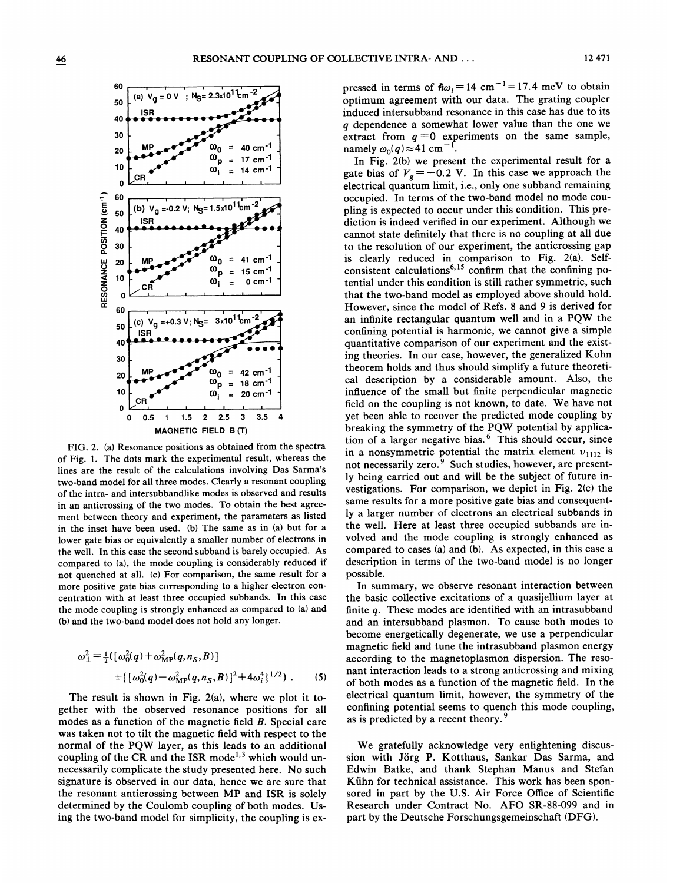

FIG. 2. (a) Resonance positions as obtained from the spectra of Fig. 1. The dots mark the experimental result, whereas the lines are the result of the calculations involving Das Sarma's two-band model for all three modes. Clearly a resonant coupling of the intra- and intersubbandlike modes is observed and results in an anticrossing of the two modes. To obtain the best agreement between theory and experiment, the parameters as listed in the inset have been used. (b} The same as in (a) but for a lower gate bias or equivalently a smaller number of electrons in the well. In this case the second subband is barely occupied. As compared to (a), the mode coupling is considerably reduced if not quenched at all. (c) For comparison, the same result for a more positive gate bias corresponding to a higher electron concentration with at least three occupied subbands. In this case the mode coupling is strongly enhanced as compared to (a} and (b) and the two-band model does not hold any longer.

$$
\omega_{\pm}^{2} = \frac{1}{2} \{ [\omega_{0}^{2}(q) + \omega_{\mathbf{MP}}^{2}(q, n_{S}, B)]
$$
  
 
$$
\pm \{ [\omega_{0}^{2}(q) - \omega_{\mathbf{MP}}^{2}(q, n_{S}, B)]^{2} + 4\omega_{i}^{4}\}^{1/2} \} .
$$
 (5)

The result is shown in Fig. 2(a), where we plot it together with the observed resonance positions for all modes as a function of the magnetic field B. Special care was taken not to tilt the magnetic field with respect to the normal of the PQW layer, as this leads to an additional coupling of the CR and the ISR mode<sup>1,3</sup> which would unnecessarily complicate the study presented here. No such signature is observed in our data, hence we are sure that the resonant anticrossing between MP and ISR is solely determined by the Coulomb coupling of both modes. Using the two-band model for simplicity, the coupling is expressed in terms of  $\hbar \omega_i = 14$  cm<sup>-1</sup>=17.4 meV to obtain optimum agreement with our data. The grating coupler induced intersubband resonance in this case has due to its <sup>q</sup> dependence a somewhat lower value than the one we extract from  $q = 0$  experiments on the same sample, namely  $\omega_0(q) \approx 41 \text{ cm}^{-1}$ .

In Fig. 2(b) we present the experimental result for a gate bias of  $V_{\rm g} = -0.2$  V. In this case we approach the electrical quantum limit, i.e., only one subband remaining occupied. In terms of the two-band model no mode coupling is expected to occur under this condition. This prediction is indeed verified in our experiment. Although we cannot state definitely that there is no coupling at all due to the resolution of our experiment, the anticrossing gap is clearly reduced in comparison to Fig. 2(a). Self-'consistent calculations<sup>6,15</sup> confirm that the confining potential under this condition is still rather symmetric, such that the two-band model as employed above should hold. However, since the model of Refs. 8 and 9 is derived for an infinite rectangular quantum well and in a PQW the confining potential is harmonic, we cannot give a simple quantitative comparison of our experiment and the existing theories. In our case, however, the generalized Kohn theorem holds and thus should simplify a future theoretical description by a considerable amount. Also, the influence of the small but finite perpendicular magnetic field on the coupling is not known, to date. We have not yet been able to recover the predicted mode coupling by breaking the symmetry of the PQW potential by application of a larger negative bias.<sup>6</sup> This should occur, since in a nonsymmetric potential the matrix element  $v_{1112}$  is not necessarily zero.<sup>9</sup> Such studies, however, are presently being carried out and will be the subject of future investigations. For comparison, we depict in Fig. 2(c) the same results for a more positive gate bias and consequently a larger number of electrons an electrical subbands in the well. Here at least three occupied subbands are involved and the mode coupling is strongly enhanced as compared to cases (a) and (b). As expected, in this case a description in terms of the two-band model is no longer possible.

In summary, we observe resonant interaction between the basic collective excitations of a quasijellium layer at finite a. These modes are identified with an intrasubband and an intersubband plasmon. To cause both modes to become energetically degenerate, we use a perpendicular magnetic field and tune the intrasubband plasmon energy according to the magnetoplasmon dispersion. The resonant interaction leads to a strong anticrossing and mixing of both modes as a function of the magnetic field. In the electrical quantum limit, however, the symmetry of the confining potential seems to quench this mode coupling, as is predicted by a recent theory.<sup>5</sup>

We gratefully acknowledge very enlightening discussion with Jörg P. Kotthaus, Sankar Das Sarma, and Edwin Batke, and thank Stephan Manus and Stefan Kühn for technical assistance. This work has been sponsored in part by the U.S. Air Force Office of Scientific Research under Contract No. AFO SR-88-099 and in part by the Deutsche Forschungsgemeinschaft (DFG).